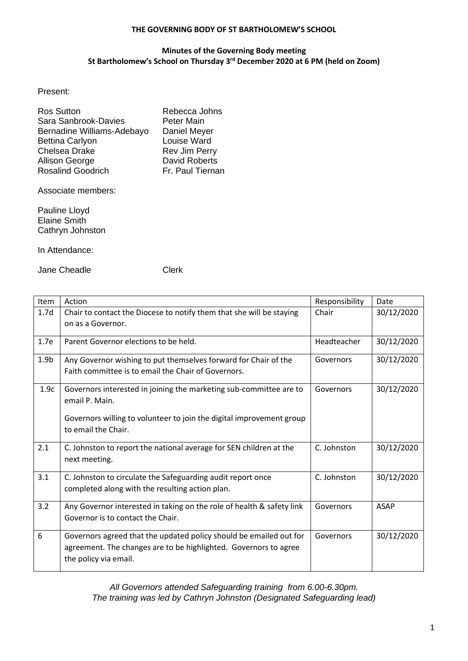## **THE GOVERNING BODY OF ST BARTHOLOMEW'S SCHOOL**

## **Minutes of the Governing Body meeting St Bartholomew's School on Thursday 3 rd December 2020 at 6 PM (held on Zoom)**

Present:

| <b>Ros Sutton</b>          | Rebecca Johns        |
|----------------------------|----------------------|
| Sara Sanbrook-Davies       | <b>Peter Main</b>    |
| Bernadine Williams-Adebayo | Daniel Meyer         |
| <b>Bettina Carlyon</b>     | Louise Ward          |
| Chelsea Drake              | Rev Jim Perry        |
| Allison George             | <b>David Roberts</b> |
| <b>Rosalind Goodrich</b>   | Fr. Paul Tiernan     |

Associate members:

Pauline Lloyd Elaine Smith Cathryn Johnston

In Attendance:

Jane Cheadle **Clerk** 

| <b>Item</b>      | Action                                                                               | Responsibility | Date        |
|------------------|--------------------------------------------------------------------------------------|----------------|-------------|
| 1.7 <sub>d</sub> | Chair to contact the Diocese to notify them that she will be staying                 | Chair          | 30/12/2020  |
|                  | on as a Governor.                                                                    |                |             |
| 1.7e             | Parent Governor elections to be held.                                                | Headteacher    | 30/12/2020  |
| 1.9 <sub>b</sub> | Any Governor wishing to put themselves forward for Chair of the                      | Governors      | 30/12/2020  |
|                  | Faith committee is to email the Chair of Governors.                                  |                |             |
| 1.9c             | Governors interested in joining the marketing sub-committee are to<br>email P. Main. | Governors      | 30/12/2020  |
|                  |                                                                                      |                |             |
|                  | Governors willing to volunteer to join the digital improvement group                 |                |             |
|                  | to email the Chair.                                                                  |                |             |
| 2.1              | C. Johnston to report the national average for SEN children at the                   | C. Johnston    | 30/12/2020  |
|                  | next meeting.                                                                        |                |             |
| 3.1              | C. Johnston to circulate the Safeguarding audit report once                          | C. Johnston    | 30/12/2020  |
|                  | completed along with the resulting action plan.                                      |                |             |
| 3.2              | Any Governor interested in taking on the role of health & safety link                | Governors      | <b>ASAP</b> |
|                  | Governor is to contact the Chair.                                                    |                |             |
| 6                | Governors agreed that the updated policy should be emailed out for                   | Governors      | 30/12/2020  |
|                  | agreement. The changes are to be highlighted. Governors to agree                     |                |             |
|                  | the policy via email.                                                                |                |             |

*All Governors attended Safeguarding training from 6.00-6.30pm. The training was led by Cathryn Johnston (Designated Safeguarding lead)*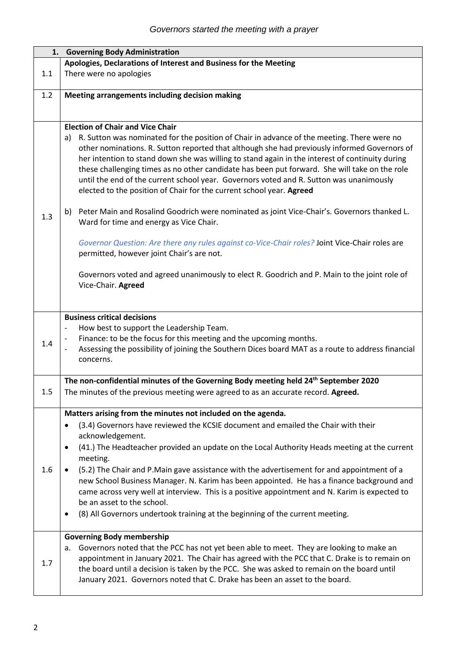| 1.  | <b>Governing Body Administration</b>                                                                                                                                                                                                                                                                                                                                                                                                                                                                                                                                 |
|-----|----------------------------------------------------------------------------------------------------------------------------------------------------------------------------------------------------------------------------------------------------------------------------------------------------------------------------------------------------------------------------------------------------------------------------------------------------------------------------------------------------------------------------------------------------------------------|
|     | Apologies, Declarations of Interest and Business for the Meeting                                                                                                                                                                                                                                                                                                                                                                                                                                                                                                     |
| 1.1 | There were no apologies                                                                                                                                                                                                                                                                                                                                                                                                                                                                                                                                              |
| 1.2 | Meeting arrangements including decision making                                                                                                                                                                                                                                                                                                                                                                                                                                                                                                                       |
|     |                                                                                                                                                                                                                                                                                                                                                                                                                                                                                                                                                                      |
|     |                                                                                                                                                                                                                                                                                                                                                                                                                                                                                                                                                                      |
|     | <b>Election of Chair and Vice Chair</b>                                                                                                                                                                                                                                                                                                                                                                                                                                                                                                                              |
|     | a) R. Sutton was nominated for the position of Chair in advance of the meeting. There were no<br>other nominations. R. Sutton reported that although she had previously informed Governors of<br>her intention to stand down she was willing to stand again in the interest of continuity during<br>these challenging times as no other candidate has been put forward. She will take on the role<br>until the end of the current school year. Governors voted and R. Sutton was unanimously<br>elected to the position of Chair for the current school year. Agreed |
| 1.3 | Peter Main and Rosalind Goodrich were nominated as joint Vice-Chair's. Governors thanked L.<br>b)<br>Ward for time and energy as Vice Chair.                                                                                                                                                                                                                                                                                                                                                                                                                         |
|     | Governor Question: Are there any rules against co-Vice-Chair roles? Joint Vice-Chair roles are<br>permitted, however joint Chair's are not.                                                                                                                                                                                                                                                                                                                                                                                                                          |
|     | Governors voted and agreed unanimously to elect R. Goodrich and P. Main to the joint role of<br>Vice-Chair. Agreed                                                                                                                                                                                                                                                                                                                                                                                                                                                   |
|     |                                                                                                                                                                                                                                                                                                                                                                                                                                                                                                                                                                      |
| 1.4 | <b>Business critical decisions</b><br>How best to support the Leadership Team.<br>$\qquad \qquad \blacksquare$<br>Finance: to be the focus for this meeting and the upcoming months.<br>Assessing the possibility of joining the Southern Dices board MAT as a route to address financial<br>concerns.                                                                                                                                                                                                                                                               |
|     | The non-confidential minutes of the Governing Body meeting held 24 <sup>th</sup> September 2020                                                                                                                                                                                                                                                                                                                                                                                                                                                                      |
| 1.5 | The minutes of the previous meeting were agreed to as an accurate record. Agreed.                                                                                                                                                                                                                                                                                                                                                                                                                                                                                    |
|     | Matters arising from the minutes not included on the agenda.                                                                                                                                                                                                                                                                                                                                                                                                                                                                                                         |
|     | (3.4) Governors have reviewed the KCSIE document and emailed the Chair with their<br>$\bullet$<br>acknowledgement.                                                                                                                                                                                                                                                                                                                                                                                                                                                   |
|     | (41.) The Headteacher provided an update on the Local Authority Heads meeting at the current<br>$\bullet$<br>meeting.                                                                                                                                                                                                                                                                                                                                                                                                                                                |
| 1.6 | (5.2) The Chair and P.Main gave assistance with the advertisement for and appointment of a<br>$\bullet$<br>new School Business Manager. N. Karim has been appointed. He has a finance background and<br>came across very well at interview. This is a positive appointment and N. Karim is expected to<br>be an asset to the school.<br>(8) All Governors undertook training at the beginning of the current meeting.<br>$\bullet$                                                                                                                                   |
|     | <b>Governing Body membership</b>                                                                                                                                                                                                                                                                                                                                                                                                                                                                                                                                     |
| 1.7 | Governors noted that the PCC has not yet been able to meet. They are looking to make an<br>а.<br>appointment in January 2021. The Chair has agreed with the PCC that C. Drake is to remain on<br>the board until a decision is taken by the PCC. She was asked to remain on the board until<br>January 2021. Governors noted that C. Drake has been an asset to the board.                                                                                                                                                                                           |
|     |                                                                                                                                                                                                                                                                                                                                                                                                                                                                                                                                                                      |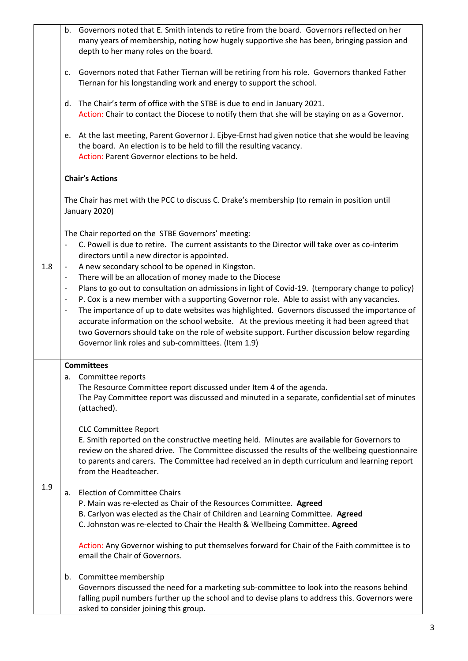|     | Governors noted that E. Smith intends to retire from the board. Governors reflected on her<br>b.<br>many years of membership, noting how hugely supportive she has been, bringing passion and<br>depth to her many roles on the board.                                                                                                                                        |
|-----|-------------------------------------------------------------------------------------------------------------------------------------------------------------------------------------------------------------------------------------------------------------------------------------------------------------------------------------------------------------------------------|
|     | Governors noted that Father Tiernan will be retiring from his role. Governors thanked Father<br>c.<br>Tiernan for his longstanding work and energy to support the school.                                                                                                                                                                                                     |
|     | The Chair's term of office with the STBE is due to end in January 2021.<br>d.<br>Action: Chair to contact the Diocese to notify them that she will be staying on as a Governor.                                                                                                                                                                                               |
|     | At the last meeting, Parent Governor J. Ejbye-Ernst had given notice that she would be leaving<br>e.<br>the board. An election is to be held to fill the resulting vacancy.<br>Action: Parent Governor elections to be held.                                                                                                                                                  |
|     | <b>Chair's Actions</b>                                                                                                                                                                                                                                                                                                                                                        |
|     | The Chair has met with the PCC to discuss C. Drake's membership (to remain in position until<br>January 2020)                                                                                                                                                                                                                                                                 |
|     | The Chair reported on the STBE Governors' meeting:<br>C. Powell is due to retire. The current assistants to the Director will take over as co-interim<br>directors until a new director is appointed.                                                                                                                                                                         |
| 1.8 | A new secondary school to be opened in Kingston.<br>$\overline{\phantom{a}}$<br>There will be an allocation of money made to the Diocese<br>$\overline{\phantom{a}}$                                                                                                                                                                                                          |
|     | Plans to go out to consultation on admissions in light of Covid-19. (temporary change to policy)<br>$\overline{\phantom{a}}$                                                                                                                                                                                                                                                  |
|     | P. Cox is a new member with a supporting Governor role. Able to assist with any vacancies.<br>$\overline{\phantom{a}}$                                                                                                                                                                                                                                                        |
|     | The importance of up to date websites was highlighted. Governors discussed the importance of<br>$\overline{\phantom{a}}$<br>accurate information on the school website. At the previous meeting it had been agreed that<br>two Governors should take on the role of website support. Further discussion below regarding<br>Governor link roles and sub-committees. (Item 1.9) |
|     | <b>Committees</b>                                                                                                                                                                                                                                                                                                                                                             |
| 1.9 | a. Committee reports<br>The Resource Committee report discussed under Item 4 of the agenda.<br>The Pay Committee report was discussed and minuted in a separate, confidential set of minutes<br>(attached).                                                                                                                                                                   |
|     | <b>CLC Committee Report</b><br>E. Smith reported on the constructive meeting held. Minutes are available for Governors to<br>review on the shared drive. The Committee discussed the results of the wellbeing questionnaire<br>to parents and carers. The Committee had received an in depth curriculum and learning report<br>from the Headteacher.                          |
|     | <b>Election of Committee Chairs</b><br>a.<br>P. Main was re-elected as Chair of the Resources Committee. Agreed<br>B. Carlyon was elected as the Chair of Children and Learning Committee. Agreed<br>C. Johnston was re-elected to Chair the Health & Wellbeing Committee. Agreed                                                                                             |
|     | Action: Any Governor wishing to put themselves forward for Chair of the Faith committee is to<br>email the Chair of Governors.                                                                                                                                                                                                                                                |
|     | Committee membership<br>b.<br>Governors discussed the need for a marketing sub-committee to look into the reasons behind<br>falling pupil numbers further up the school and to devise plans to address this. Governors were<br>asked to consider joining this group.                                                                                                          |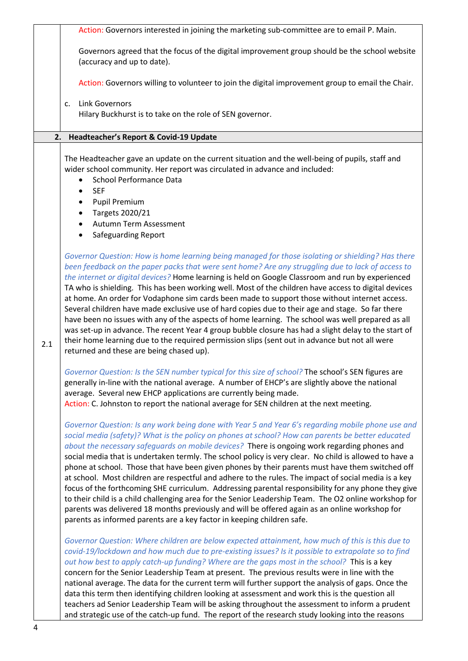|     | Action: Governors interested in joining the marketing sub-committee are to email P. Main.                                                                                                                                                                                                                                                                                                                                                                                                                                                                                                                                                                                                                                                                                                                                                                                                                                                                                                                               |
|-----|-------------------------------------------------------------------------------------------------------------------------------------------------------------------------------------------------------------------------------------------------------------------------------------------------------------------------------------------------------------------------------------------------------------------------------------------------------------------------------------------------------------------------------------------------------------------------------------------------------------------------------------------------------------------------------------------------------------------------------------------------------------------------------------------------------------------------------------------------------------------------------------------------------------------------------------------------------------------------------------------------------------------------|
|     | Governors agreed that the focus of the digital improvement group should be the school website<br>(accuracy and up to date).                                                                                                                                                                                                                                                                                                                                                                                                                                                                                                                                                                                                                                                                                                                                                                                                                                                                                             |
|     | Action: Governors willing to volunteer to join the digital improvement group to email the Chair.                                                                                                                                                                                                                                                                                                                                                                                                                                                                                                                                                                                                                                                                                                                                                                                                                                                                                                                        |
|     | <b>Link Governors</b><br>c.<br>Hilary Buckhurst is to take on the role of SEN governor.                                                                                                                                                                                                                                                                                                                                                                                                                                                                                                                                                                                                                                                                                                                                                                                                                                                                                                                                 |
|     | 2. Headteacher's Report & Covid-19 Update                                                                                                                                                                                                                                                                                                                                                                                                                                                                                                                                                                                                                                                                                                                                                                                                                                                                                                                                                                               |
|     | The Headteacher gave an update on the current situation and the well-being of pupils, staff and<br>wider school community. Her report was circulated in advance and included:<br><b>School Performance Data</b><br><b>SEF</b><br><b>Pupil Premium</b><br>$\bullet$<br>Targets 2020/21<br>Autumn Term Assessment                                                                                                                                                                                                                                                                                                                                                                                                                                                                                                                                                                                                                                                                                                         |
|     | <b>Safeguarding Report</b>                                                                                                                                                                                                                                                                                                                                                                                                                                                                                                                                                                                                                                                                                                                                                                                                                                                                                                                                                                                              |
| 2.1 | Governor Question: How is home learning being managed for those isolating or shielding? Has there<br>been feedback on the paper packs that were sent home? Are any struggling due to lack of access to<br>the internet or digital devices? Home learning is held on Google Classroom and run by experienced<br>TA who is shielding. This has been working well. Most of the children have access to digital devices<br>at home. An order for Vodaphone sim cards been made to support those without internet access.<br>Several children have made exclusive use of hard copies due to their age and stage. So far there<br>have been no issues with any of the aspects of home learning. The school was well prepared as all<br>was set-up in advance. The recent Year 4 group bubble closure has had a slight delay to the start of<br>their home learning due to the required permission slips (sent out in advance but not all were<br>returned and these are being chased up).                                     |
|     | Governor Question: Is the SEN number typical for this size of school? The school's SEN figures are<br>generally in-line with the national average. A number of EHCP's are slightly above the national<br>average. Several new EHCP applications are currently being made.<br>Action: C. Johnston to report the national average for SEN children at the next meeting.                                                                                                                                                                                                                                                                                                                                                                                                                                                                                                                                                                                                                                                   |
|     | Governor Question: Is any work being done with Year 5 and Year 6's regarding mobile phone use and<br>social media (safety)? What is the policy on phones at school? How can parents be better educated<br>about the necessary safeguards on mobile devices? There is ongoing work regarding phones and<br>social media that is undertaken termly. The school policy is very clear. No child is allowed to have a<br>phone at school. Those that have been given phones by their parents must have them switched off<br>at school. Most children are respectful and adhere to the rules. The impact of social media is a key<br>focus of the forthcoming SHE curriculum. Addressing parental responsibility for any phone they give<br>to their child is a child challenging area for the Senior Leadership Team. The O2 online workshop for<br>parents was delivered 18 months previously and will be offered again as an online workshop for<br>parents as informed parents are a key factor in keeping children safe. |
|     | Governor Question: Where children are below expected attainment, how much of this is this due to<br>covid-19/lockdown and how much due to pre-existing issues? Is it possible to extrapolate so to find<br>out how best to apply catch-up funding? Where are the gaps most in the school? This is a key<br>concern for the Senior Leadership Team at present. The previous results were in line with the<br>national average. The data for the current term will further support the analysis of gaps. Once the<br>data this term then identifying children looking at assessment and work this is the question all<br>teachers ad Senior Leadership Team will be asking throughout the assessment to inform a prudent<br>and strategic use of the catch-up fund. The report of the research study looking into the reasons                                                                                                                                                                                             |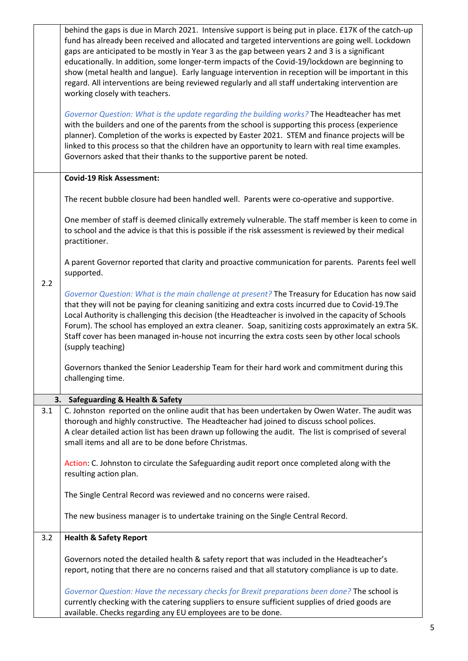|     | behind the gaps is due in March 2021. Intensive support is being put in place. £17K of the catch-up<br>fund has already been received and allocated and targeted interventions are going well. Lockdown<br>gaps are anticipated to be mostly in Year 3 as the gap between years 2 and 3 is a significant<br>educationally. In addition, some longer-term impacts of the Covid-19/lockdown are beginning to<br>show (metal health and langue). Early language intervention in reception will be important in this<br>regard. All interventions are being reviewed regularly and all staff undertaking intervention are<br>working closely with teachers. |
|-----|---------------------------------------------------------------------------------------------------------------------------------------------------------------------------------------------------------------------------------------------------------------------------------------------------------------------------------------------------------------------------------------------------------------------------------------------------------------------------------------------------------------------------------------------------------------------------------------------------------------------------------------------------------|
|     | Governor Question: What is the update regarding the building works? The Headteacher has met<br>with the builders and one of the parents from the school is supporting this process (experience<br>planner). Completion of the works is expected by Easter 2021. STEM and finance projects will be<br>linked to this process so that the children have an opportunity to learn with real time examples.<br>Governors asked that their thanks to the supportive parent be noted.                                                                                                                                                                          |
|     | <b>Covid-19 Risk Assessment:</b>                                                                                                                                                                                                                                                                                                                                                                                                                                                                                                                                                                                                                        |
|     | The recent bubble closure had been handled well. Parents were co-operative and supportive.                                                                                                                                                                                                                                                                                                                                                                                                                                                                                                                                                              |
|     | One member of staff is deemed clinically extremely vulnerable. The staff member is keen to come in<br>to school and the advice is that this is possible if the risk assessment is reviewed by their medical<br>practitioner.                                                                                                                                                                                                                                                                                                                                                                                                                            |
| 2.2 | A parent Governor reported that clarity and proactive communication for parents. Parents feel well<br>supported.                                                                                                                                                                                                                                                                                                                                                                                                                                                                                                                                        |
|     | Governor Question: What is the main challenge at present? The Treasury for Education has now said<br>that they will not be paying for cleaning sanitizing and extra costs incurred due to Covid-19. The<br>Local Authority is challenging this decision (the Headteacher is involved in the capacity of Schools<br>Forum). The school has employed an extra cleaner. Soap, sanitizing costs approximately an extra 5K.<br>Staff cover has been managed in-house not incurring the extra costs seen by other local schools<br>(supply teaching)                                                                                                          |
|     | Governors thanked the Senior Leadership Team for their hard work and commitment during this<br>challenging time.                                                                                                                                                                                                                                                                                                                                                                                                                                                                                                                                        |
|     | 3.<br><b>Safeguarding &amp; Health &amp; Safety</b>                                                                                                                                                                                                                                                                                                                                                                                                                                                                                                                                                                                                     |
| 3.1 | C. Johnston reported on the online audit that has been undertaken by Owen Water. The audit was<br>thorough and highly constructive. The Headteacher had joined to discuss school polices.<br>A clear detailed action list has been drawn up following the audit. The list is comprised of several<br>small items and all are to be done before Christmas.                                                                                                                                                                                                                                                                                               |
|     | Action: C. Johnston to circulate the Safeguarding audit report once completed along with the<br>resulting action plan.                                                                                                                                                                                                                                                                                                                                                                                                                                                                                                                                  |
|     | The Single Central Record was reviewed and no concerns were raised.                                                                                                                                                                                                                                                                                                                                                                                                                                                                                                                                                                                     |
|     | The new business manager is to undertake training on the Single Central Record.                                                                                                                                                                                                                                                                                                                                                                                                                                                                                                                                                                         |
| 3.2 | <b>Health &amp; Safety Report</b>                                                                                                                                                                                                                                                                                                                                                                                                                                                                                                                                                                                                                       |
|     | Governors noted the detailed health & safety report that was included in the Headteacher's<br>report, noting that there are no concerns raised and that all statutory compliance is up to date.                                                                                                                                                                                                                                                                                                                                                                                                                                                         |
|     | Governor Question: Have the necessary checks for Brexit preparations been done? The school is<br>currently checking with the catering suppliers to ensure sufficient supplies of dried goods are<br>available. Checks regarding any EU employees are to be done.                                                                                                                                                                                                                                                                                                                                                                                        |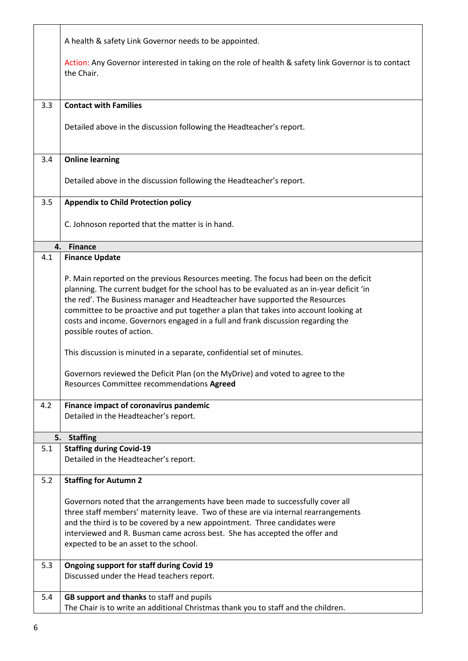|     | A health & safety Link Governor needs to be appointed.                                                                                                                                                                                                                                                                                                                                                                                                                      |
|-----|-----------------------------------------------------------------------------------------------------------------------------------------------------------------------------------------------------------------------------------------------------------------------------------------------------------------------------------------------------------------------------------------------------------------------------------------------------------------------------|
|     | Action: Any Governor interested in taking on the role of health & safety link Governor is to contact<br>the Chair.                                                                                                                                                                                                                                                                                                                                                          |
| 3.3 | <b>Contact with Families</b>                                                                                                                                                                                                                                                                                                                                                                                                                                                |
|     | Detailed above in the discussion following the Headteacher's report.                                                                                                                                                                                                                                                                                                                                                                                                        |
| 3.4 | <b>Online learning</b>                                                                                                                                                                                                                                                                                                                                                                                                                                                      |
|     | Detailed above in the discussion following the Headteacher's report.                                                                                                                                                                                                                                                                                                                                                                                                        |
| 3.5 | <b>Appendix to Child Protection policy</b>                                                                                                                                                                                                                                                                                                                                                                                                                                  |
|     | C. Johnoson reported that the matter is in hand.                                                                                                                                                                                                                                                                                                                                                                                                                            |
| 4.  | <b>Finance</b>                                                                                                                                                                                                                                                                                                                                                                                                                                                              |
| 4.1 | <b>Finance Update</b>                                                                                                                                                                                                                                                                                                                                                                                                                                                       |
|     | P. Main reported on the previous Resources meeting. The focus had been on the deficit<br>planning. The current budget for the school has to be evaluated as an in-year deficit 'in<br>the red'. The Business manager and Headteacher have supported the Resources<br>committee to be proactive and put together a plan that takes into account looking at<br>costs and income. Governors engaged in a full and frank discussion regarding the<br>possible routes of action. |
|     | This discussion is minuted in a separate, confidential set of minutes.                                                                                                                                                                                                                                                                                                                                                                                                      |
|     | Governors reviewed the Deficit Plan (on the MyDrive) and voted to agree to the<br>Resources Committee recommendations Agreed                                                                                                                                                                                                                                                                                                                                                |
| 4.2 | Finance impact of coronavirus pandemic<br>Detailed in the Headteacher's report.                                                                                                                                                                                                                                                                                                                                                                                             |
| 5.  | <b>Staffing</b>                                                                                                                                                                                                                                                                                                                                                                                                                                                             |
| 5.1 | <b>Staffing during Covid-19</b><br>Detailed in the Headteacher's report.                                                                                                                                                                                                                                                                                                                                                                                                    |
| 5.2 | <b>Staffing for Autumn 2</b>                                                                                                                                                                                                                                                                                                                                                                                                                                                |
|     | Governors noted that the arrangements have been made to successfully cover all<br>three staff members' maternity leave. Two of these are via internal rearrangements<br>and the third is to be covered by a new appointment. Three candidates were<br>interviewed and R. Busman came across best. She has accepted the offer and<br>expected to be an asset to the school.                                                                                                  |
| 5.3 | Ongoing support for staff during Covid 19<br>Discussed under the Head teachers report.                                                                                                                                                                                                                                                                                                                                                                                      |
| 5.4 | GB support and thanks to staff and pupils<br>The Chair is to write an additional Christmas thank you to staff and the children.                                                                                                                                                                                                                                                                                                                                             |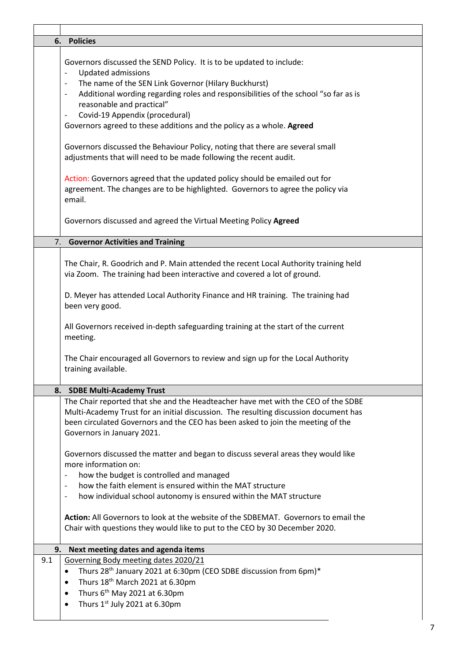|     | 6. Policies                                                                                                                                                                                                                                                                                                                                                                                                                                                                                                                                                                               |
|-----|-------------------------------------------------------------------------------------------------------------------------------------------------------------------------------------------------------------------------------------------------------------------------------------------------------------------------------------------------------------------------------------------------------------------------------------------------------------------------------------------------------------------------------------------------------------------------------------------|
|     | Governors discussed the SEND Policy. It is to be updated to include:<br><b>Updated admissions</b><br>$\overline{\phantom{a}}$<br>The name of the SEN Link Governor (Hilary Buckhurst)<br>$\overline{\phantom{a}}$<br>Additional wording regarding roles and responsibilities of the school "so far as is<br>$\overline{\phantom{a}}$<br>reasonable and practical"<br>Covid-19 Appendix (procedural)<br>$\overline{\phantom{a}}$<br>Governors agreed to these additions and the policy as a whole. Agreed<br>Governors discussed the Behaviour Policy, noting that there are several small |
|     | adjustments that will need to be made following the recent audit.<br>Action: Governors agreed that the updated policy should be emailed out for<br>agreement. The changes are to be highlighted. Governors to agree the policy via<br>email.<br>Governors discussed and agreed the Virtual Meeting Policy Agreed                                                                                                                                                                                                                                                                          |
|     |                                                                                                                                                                                                                                                                                                                                                                                                                                                                                                                                                                                           |
| 7.  | <b>Governor Activities and Training</b>                                                                                                                                                                                                                                                                                                                                                                                                                                                                                                                                                   |
|     | The Chair, R. Goodrich and P. Main attended the recent Local Authority training held<br>via Zoom. The training had been interactive and covered a lot of ground.                                                                                                                                                                                                                                                                                                                                                                                                                          |
|     | D. Meyer has attended Local Authority Finance and HR training. The training had<br>been very good.                                                                                                                                                                                                                                                                                                                                                                                                                                                                                        |
|     | All Governors received in-depth safeguarding training at the start of the current<br>meeting.                                                                                                                                                                                                                                                                                                                                                                                                                                                                                             |
|     | The Chair encouraged all Governors to review and sign up for the Local Authority<br>training available.                                                                                                                                                                                                                                                                                                                                                                                                                                                                                   |
|     | 8. SDBE Multi-Academy Trust                                                                                                                                                                                                                                                                                                                                                                                                                                                                                                                                                               |
|     | The Chair reported that she and the Headteacher have met with the CEO of the SDBE<br>Multi-Academy Trust for an initial discussion. The resulting discussion document has<br>been circulated Governors and the CEO has been asked to join the meeting of the<br>Governors in January 2021.                                                                                                                                                                                                                                                                                                |
|     | Governors discussed the matter and began to discuss several areas they would like<br>more information on:<br>how the budget is controlled and managed<br>$\qquad \qquad -$<br>how the faith element is ensured within the MAT structure<br>$\overline{\phantom{a}}$<br>how individual school autonomy is ensured within the MAT structure<br>$\overline{\phantom{a}}$                                                                                                                                                                                                                     |
|     | Action: All Governors to look at the website of the SDBEMAT. Governors to email the<br>Chair with questions they would like to put to the CEO by 30 December 2020.                                                                                                                                                                                                                                                                                                                                                                                                                        |
| 9.  | Next meeting dates and agenda items                                                                                                                                                                                                                                                                                                                                                                                                                                                                                                                                                       |
| 9.1 | Governing Body meeting dates 2020/21<br>Thurs 28 <sup>th</sup> January 2021 at 6:30pm (CEO SDBE discussion from 6pm)*<br>$\bullet$<br>Thurs 18th March 2021 at 6.30pm<br>$\bullet$<br>Thurs $6th$ May 2021 at 6.30pm<br>$\bullet$<br>Thurs 1st July 2021 at 6.30pm<br>$\bullet$                                                                                                                                                                                                                                                                                                           |